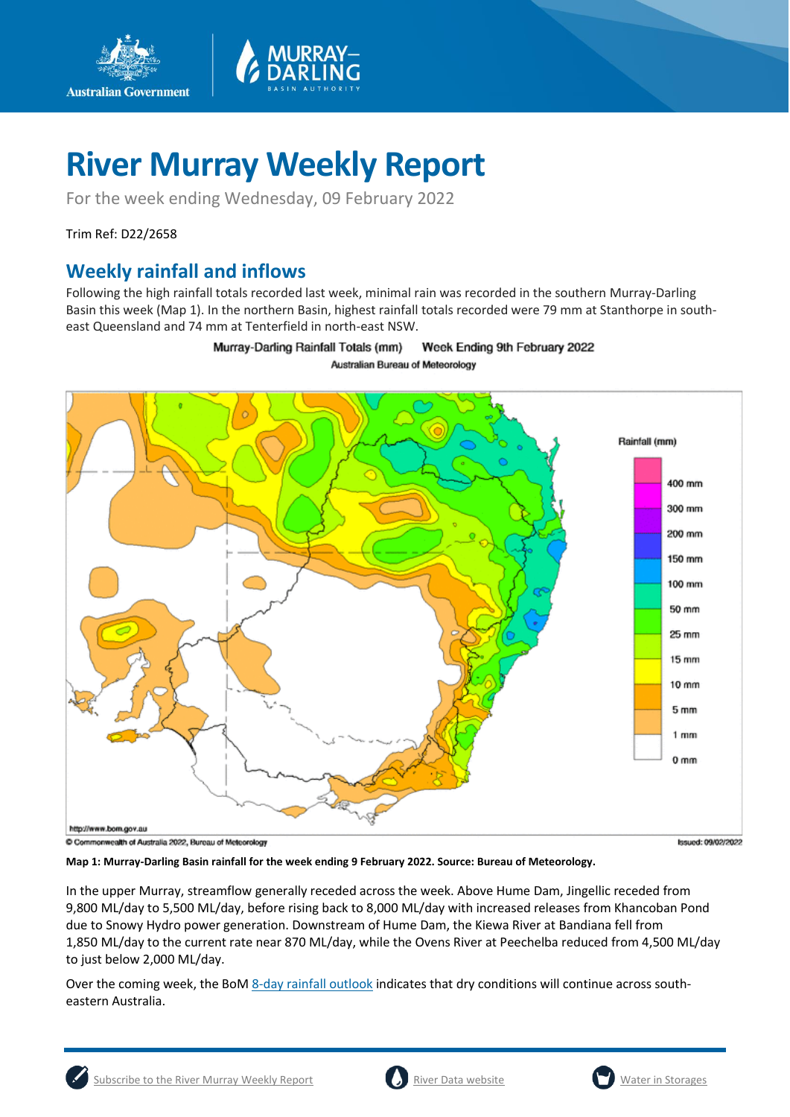

For the week ending Wednesday, 09 February 2022

Trim Ref: D22/2658

**Australian Government** 

## **Weekly rainfall and inflows**

Following the high rainfall totals recorded last week, minimal rain was recorded in the southern Murray-Darling Basin this week (Map 1). In the northern Basin, highest rainfall totals recorded were 79 mm at Stanthorpe in southeast Queensland and 74 mm at Tenterfield in north-east NSW.

> Murray-Darling Rainfall Totals (mm) Week Ending 9th February 2022 Australian Bureau of Meteorology



**Map 1: Murray-Darling Basin rainfall for the week ending 9 February 2022. Source: Bureau of Meteorology.**

In the upper Murray, streamflow generally receded across the week. Above Hume Dam, Jingellic receded from 9,800 ML/day to 5,500 ML/day, before rising back to 8,000 ML/day with increased releases from Khancoban Pond due to Snowy Hydro power generation. Downstream of Hume Dam, the Kiewa River at Bandiana fell from 1,850 ML/day to the current rate near 870 ML/day, while the Ovens River at Peechelba reduced from 4,500 ML/day to just below 2,000 ML/day.

Over the coming week, the BoM [8-day rainfall outlook](http://www.bom.gov.au/jsp/watl/rainfall/pme.jsp) indicates that dry conditions will continue across southeastern Australia.



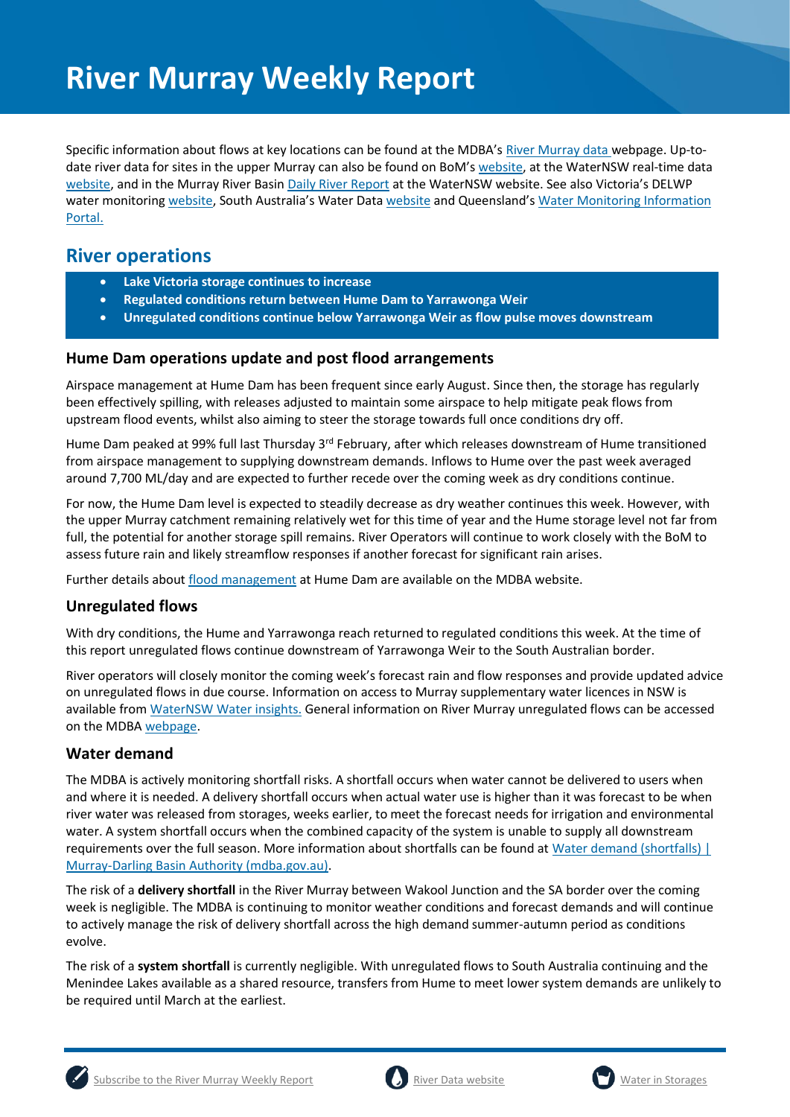Specific information about flows at key locations can be found at the MDBA's [River Murray data](https://riverdata.mdba.gov.au/system-view) webpage. Up-todate river data for sites in the upper Murray can also be found on BoM's [website,](http://www.bom.gov.au/cgi-bin/wrap_fwo.pl?IDV60151.html) at the WaterNSW real-time data [website,](https://realtimedata.waternsw.com.au/water.stm) and in the Murray River Basi[n Daily River Report](https://data.nsw.gov.au/data/dataset/daily-river-reports/resource/5e59326e-2b83-4ad7-88e5-25e96ec40a7d) at the WaterNSW website. See also Victoria's DELWP water monitoring [website](https://water.data.sa.gov.au/Data/Map/Parameter/NoParameter/Location/Type/Interval/Latest), South Australia's Water Data website and Queensland's Water Monitoring Information [Portal.](https://water-monitoring.information.qld.gov.au/)

## **River operations**

- **Lake Victoria storage continues to increase**
- **Regulated conditions return between Hume Dam to Yarrawonga Weir**
- **Unregulated conditions continue below Yarrawonga Weir as flow pulse moves downstream**

#### **Hume Dam operations update and post flood arrangements**

Airspace management at Hume Dam has been frequent since early August. Since then, the storage has regularly been effectively spilling, with releases adjusted to maintain some airspace to help mitigate peak flows from upstream flood events, whilst also aiming to steer the storage towards full once conditions dry off.

Hume Dam peaked at 99% full last Thursday 3<sup>rd</sup> February, after which releases downstream of Hume transitioned from airspace management to supplying downstream demands. Inflows to Hume over the past week averaged around 7,700 ML/day and are expected to further recede over the coming week as dry conditions continue.

For now, the Hume Dam level is expected to steadily decrease as dry weather continues this week. However, with the upper Murray catchment remaining relatively wet for this time of year and the Hume storage level not far from full, the potential for another storage spill remains. River Operators will continue to work closely with the BoM to assess future rain and likely streamflow responses if another forecast for significant rain arises.

Further details about [flood management](http://www.mdba.gov.au/river-murray-system/running-river-murray/flood-management-hume-dam) at Hume Dam are available on the MDBA website.

#### **Unregulated flows**

With dry conditions, the Hume and Yarrawonga reach returned to regulated conditions this week. At the time of this report unregulated flows continue downstream of Yarrawonga Weir to the South Australian border.

River operators will closely monitor the coming week's forecast rain and flow responses and provide updated advice on unregulated flows in due course. Information on access to Murray supplementary water licences in NSW is available from [WaterNSW Water insights.](https://waterinsights.waternsw.com.au/11904-new-south-wales-murray-regulated-river/updates) General information on River Murray unregulated flows can be accessed on the MDB[A webpage.](https://www.mdba.gov.au/water-management/allocations-states-mdba/unregulated-flows-river-murray)

### **Water demand**

The MDBA is actively monitoring shortfall risks. A shortfall occurs when water cannot be delivered to users when and where it is needed. A delivery shortfall occurs when actual water use is higher than it was forecast to be when river water was released from storages, weeks earlier, to meet the forecast needs for irrigation and environmental water. A system shortfall occurs when the combined capacity of the system is unable to supply all downstream requirements over the full season. More information about shortfalls can be found at [Water demand \(shortfalls\) |](https://www.mdba.gov.au/water-management/river-operations/water-demand-shortfalls)  [Murray-Darling Basin Authority \(mdba.gov.au\).](https://www.mdba.gov.au/water-management/river-operations/water-demand-shortfalls)

The risk of a **delivery shortfall** in the River Murray between Wakool Junction and the SA border over the coming week is negligible. The MDBA is continuing to monitor weather conditions and forecast demands and will continue to actively manage the risk of delivery shortfall across the high demand summer-autumn period as conditions evolve.

The risk of a **system shortfall** is currently negligible. With unregulated flows to South Australia continuing and the Menindee Lakes available as a shared resource, transfers from Hume to meet lower system demands are unlikely to be required until March at the earliest.



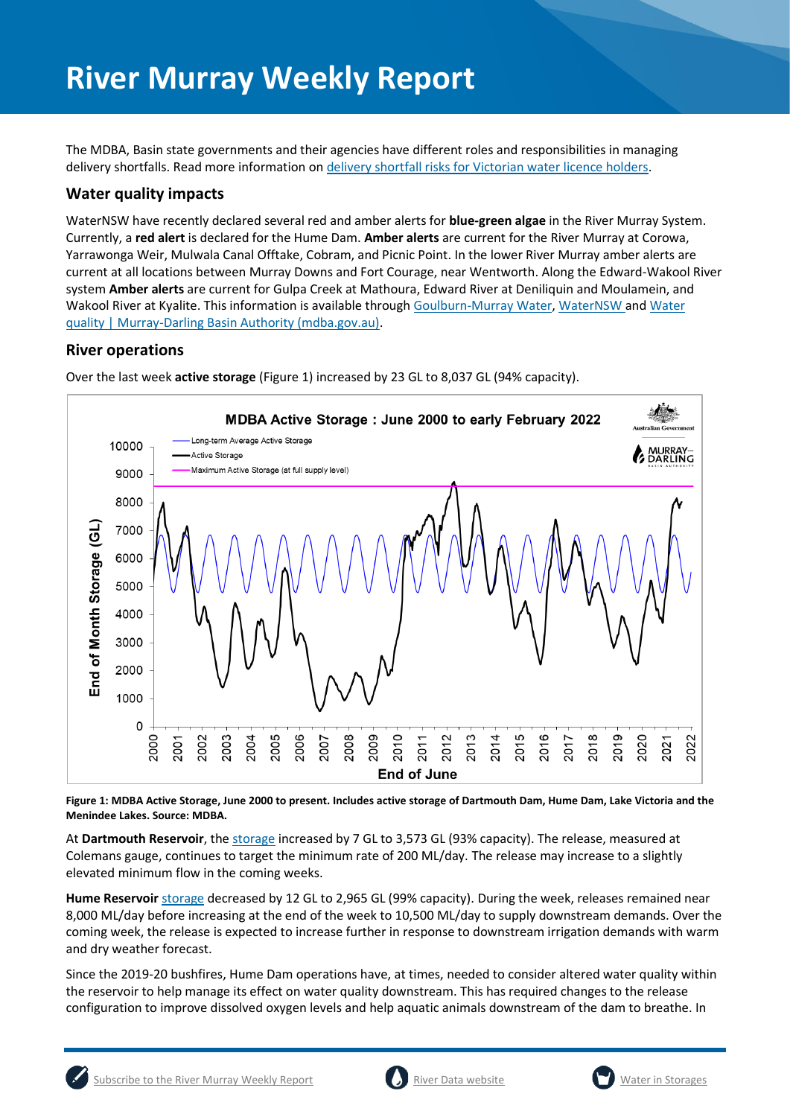The MDBA, Basin state governments and their agencies have different roles and responsibilities in managing delivery shortfalls. Read more information on [delivery shortfall risks for Victorian water licence holders.](https://waterregister.vic.gov.au/about/news/337-new-fact-sheet-on-delivery-risks-in-the-river-murray)

#### **Water quality impacts**

WaterNSW have recently declared several red and amber alerts for **blue-green algae** in the River Murray System. Currently, a **red alert** is declared for the Hume Dam. **Amber alerts** are current for the River Murray at Corowa, Yarrawonga Weir, Mulwala Canal Offtake, Cobram, and Picnic Point. In the lower River Murray amber alerts are current at all locations between Murray Downs and Fort Courage, near Wentworth. Along the Edward-Wakool River system **Amber alerts** are current for Gulpa Creek at Mathoura, Edward River at Deniliquin and Moulamein, and Wakool River at Kyalite. This information is available through [Goulburn-Murray Water,](https://www.g-mwater.com.au/news/bga) [WaterNSW](https://www.waternsw.com.au/water-quality/algae) and Water [quality | Murray-Darling Basin Authority \(mdba.gov.au\).](https://www.mdba.gov.au/water-management/mdbas-river-operations/water-quality)

#### **River operations**



Over the last week **active storage** (Figure 1) increased by 23 GL to 8,037 GL (94% capacity).

**Figure 1: MDBA Active Storage, June 2000 to present. Includes active storage of Dartmouth Dam, Hume Dam, Lake Victoria and the Menindee Lakes. Source: MDBA.** 

At **Dartmouth Reservoir**, the [storage](https://riverdata.mdba.gov.au/dartmouth-dam) increased by 7 GL to 3,573 GL (93% capacity). The release, measured at Colemans gauge, continues to target the minimum rate of 200 ML/day. The release may increase to a slightly elevated minimum flow in the coming weeks.

**Hume Reservoir** [storage](https://livedata.mdba.gov.au/hume-dam) decreased by 12 GL to 2,965 GL (99% capacity). During the week, releases remained near 8,000 ML/day before increasing at the end of the week to 10,500 ML/day to supply downstream demands. Over the coming week, the release is expected to increase further in response to downstream irrigation demands with warm and dry weather forecast.

Since the 2019-20 bushfires, Hume Dam operations have, at times, needed to consider altered water quality within the reservoir to help manage its effect on water quality downstream. This has required changes to the release configuration to improve dissolved oxygen levels and help aquatic animals downstream of the dam to breathe. In



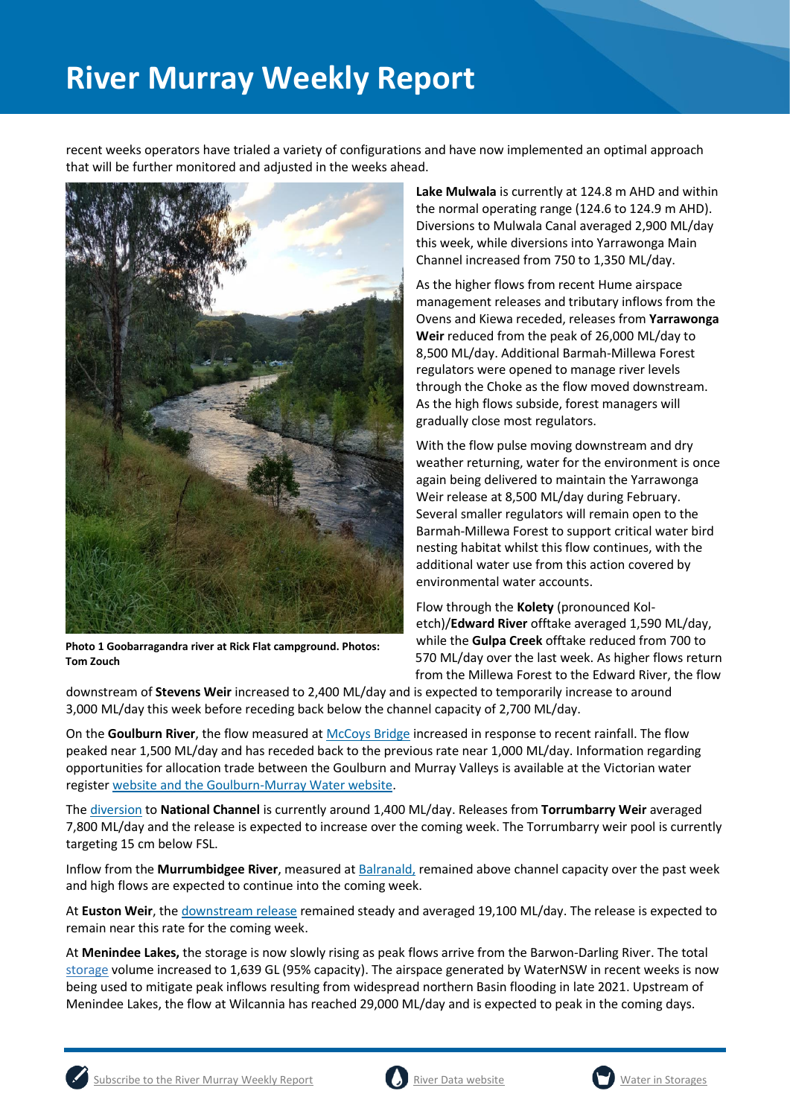recent weeks operators have trialed a variety of configurations and have now implemented an optimal approach that will be further monitored and adjusted in the weeks ahead.



**Photo 1 Goobarragandra river at Rick Flat campground. Photos: Tom Zouch**

**Lake Mulwala** is currently at 124.8 m AHD and within the normal operating range (124.6 to 124.9 m AHD). Diversions to Mulwala Canal averaged 2,900 ML/day this week, while diversions into Yarrawonga Main Channel increased from 750 to 1,350 ML/day.

As the higher flows from recent Hume airspace management releases and tributary inflows from the Ovens and Kiewa receded, releases from **Yarrawonga Weir** reduced from the peak of 26,000 ML/day to 8,500 ML/day. Additional Barmah-Millewa Forest regulators were opened to manage river levels through the Choke as the flow moved downstream. As the high flows subside, forest managers will gradually close most regulators.

With the flow pulse moving downstream and dry weather returning, water for the environment is once again being delivered to maintain the Yarrawonga Weir release at 8,500 ML/day during February. Several smaller regulators will remain open to the Barmah-Millewa Forest to support critical water bird nesting habitat whilst this flow continues, with the additional water use from this action covered by environmental water accounts.

Flow through the **Kolety** (pronounced Koletch)/**Edward River** offtake averaged 1,590 ML/day, while the **Gulpa Creek** offtake reduced from 700 to 570 ML/day over the last week. As higher flows return from the Millewa Forest to the Edward River, the flow

downstream of **Stevens Weir** increased to 2,400 ML/day and is expected to temporarily increase to around 3,000 ML/day this week before receding back below the channel capacity of 2,700 ML/day.

On the **Goulburn River**, the flow measured at [McCoys Bridge](https://riverdata.mdba.gov.au/mccoy-bridge) increased in response to recent rainfall. The flow peaked near 1,500 ML/day and has receded back to the previous rate near 1,000 ML/day. Information regarding opportunities for allocation trade between the Goulburn and Murray Valleys is available at the Victorian water register [website](http://waterregister.vic.gov.au/water-trading/allocation-trading) and th[e Goulburn-Murray Water website.](https://www.g-mwater.com.au/water-resources/managing-water-storages)

The [diversion](https://riverdata.mdba.gov.au/national-channel-ds-torrumbarry-headworks) to **National Channel** is currently around 1,400 ML/day. Releases from **Torrumbarry Weir** averaged 7,800 ML/day and the release is expected to increase over the coming week. The Torrumbarry weir pool is currently targeting 15 cm below FSL.

Inflow from the **Murrumbidgee River**, measured a[t Balranald,](https://riverdata.mdba.gov.au/balranald-weir-downstream) remained above channel capacity over the past week and high flows are expected to continue into the coming week.

At **Euston Weir**, th[e downstream release](https://riverdata.mdba.gov.au/euston-weir-downstream) remained steady and averaged 19,100 ML/day. The release is expected to remain near this rate for the coming week.

At **Menindee Lakes,** the storage is now slowly rising as peak flows arrive from the Barwon-Darling River. The total [storage](https://riverdata.mdba.gov.au/menindee-lakes-combined-storage) volume increased to 1,639 GL (95% capacity). The airspace generated by WaterNSW in recent weeks is now being used to mitigate peak inflows resulting from widespread northern Basin flooding in late 2021. Upstream of Menindee Lakes, the flow at Wilcannia has reached 29,000 ML/day and is expected to peak in the coming days.



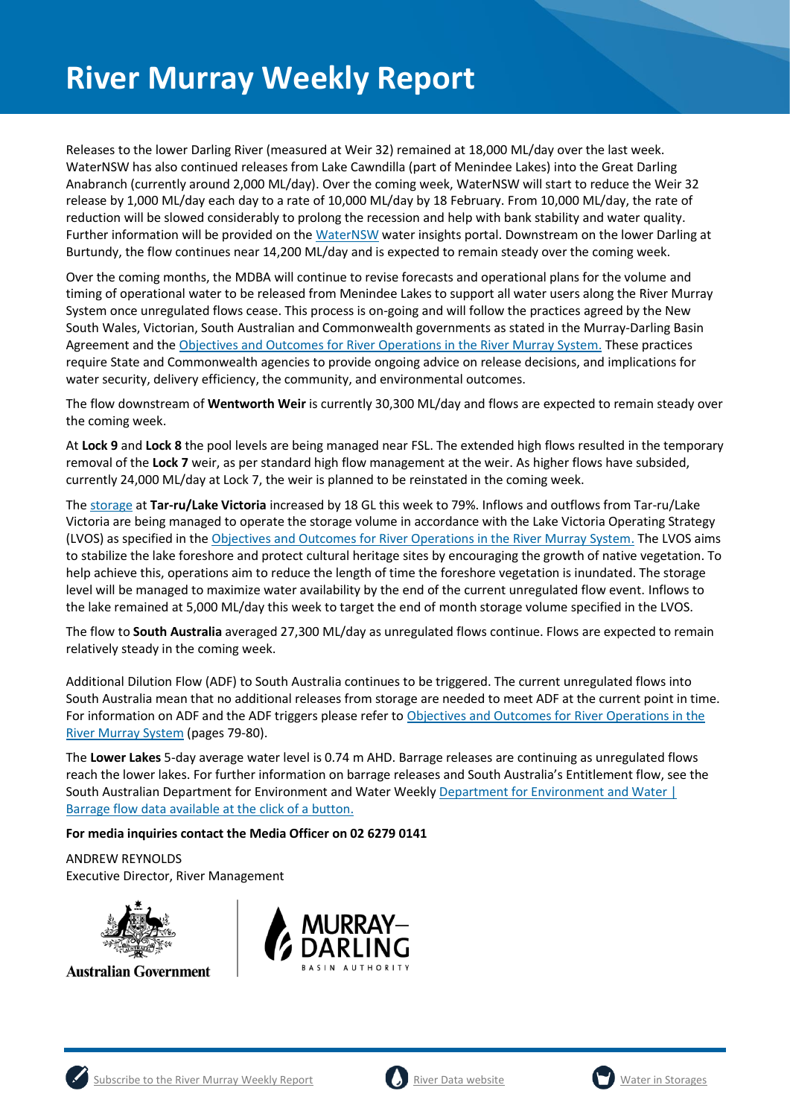Releases to the lower Darling River (measured at Weir 32) remained at 18,000 ML/day over the last week. WaterNSW has also continued releases from Lake Cawndilla (part of Menindee Lakes) into the Great Darling Anabranch (currently around 2,000 ML/day). Over the coming week, WaterNSW will start to reduce the Weir 32 release by 1,000 ML/day each day to a rate of 10,000 ML/day by 18 February. From 10,000 ML/day, the rate of reduction will be slowed considerably to prolong the recession and help with bank stability and water quality. Further information will be provided on the [WaterNSW](https://waterinsights.waternsw.com.au/12104-lower-darling-regulated-river/updates) water insights portal. Downstream on the lower Darling at Burtundy, the flow continues near 14,200 ML/day and is expected to remain steady over the coming week.

Over the coming months, the MDBA will continue to revise forecasts and operational plans for the volume and timing of operational water to be released from Menindee Lakes to support all water users along the River Murray System once unregulated flows cease. This process is on-going and will follow the practices agreed by the New South Wales, Victorian, South Australian and Commonwealth governments as stated in the Murray-Darling Basin Agreement and the [Objectives and Outcomes for River Operations in the River Murray System.](https://www.mdba.gov.au/publications/mdba-reports/objectives-outcomes-river-operations-river-murray-system) These practices require State and Commonwealth agencies to provide ongoing advice on release decisions, and implications for water security, delivery efficiency, the community, and environmental outcomes.

The flow downstream of **Wentworth Weir** is currently 30,300 ML/day and flows are expected to remain steady over the coming week.

At **Lock 9** and **Lock 8** the pool levels are being managed near FSL. The extended high flows resulted in the temporary removal of the **Lock 7** weir, as per standard high flow management at the weir. As higher flows have subsided, currently 24,000 ML/day at Lock 7, the weir is planned to be reinstated in the coming week.

The [storage](https://riverdata.mdba.gov.au/lake-victoria) at **Tar-ru/Lake Victoria** increased by 18 GL this week to 79%. Inflows and outflows from Tar-ru/Lake Victoria are being managed to operate the storage volume in accordance with the Lake Victoria Operating Strategy (LVOS) as specified in th[e Objectives and Outcomes for River Operations in the River Murray System.](https://www.mdba.gov.au/publications/mdba-reports/objectives-outcomes-river-operations-river-murray-system) The LVOS aims to stabilize the lake foreshore and protect cultural heritage sites by encouraging the growth of native vegetation. To help achieve this, operations aim to reduce the length of time the foreshore vegetation is inundated. The storage level will be managed to maximize water availability by the end of the current unregulated flow event. Inflows to the lake remained at 5,000 ML/day this week to target the end of month storage volume specified in the LVOS.

The flow to **South Australia** averaged 27,300 ML/day as unregulated flows continue. Flows are expected to remain relatively steady in the coming week.

Additional Dilution Flow (ADF) to South Australia continues to be triggered. The current unregulated flows into South Australia mean that no additional releases from storage are needed to meet ADF at the current point in time. For information on ADF and the ADF triggers please refer to Objectives and Outcomes for River Operations in the [River Murray System](https://www.mdba.gov.au/publications/mdba-reports/objectives-outcomes-river-operations-river-murray-system) (pages 79-80).

The **Lower Lakes** 5-day average water level is 0.74 m AHD. Barrage releases are continuing as unregulated flows reach the lower lakes. For further information on barrage releases and South Australia's Entitlement flow, see the South Australian Department for Environment and Water Weekly [Department for Environment and Water |](https://www.environment.sa.gov.au/news-hub/news/articles/2021/11/Daily-barrage-data)  [Barrage flow data available at the click of a button.](https://www.environment.sa.gov.au/news-hub/news/articles/2021/11/Daily-barrage-data)

#### **For media inquiries contact the Media Officer on 02 6279 0141**

ANDREW REYNOLDS Executive Director, River Management



**Australian Government** 







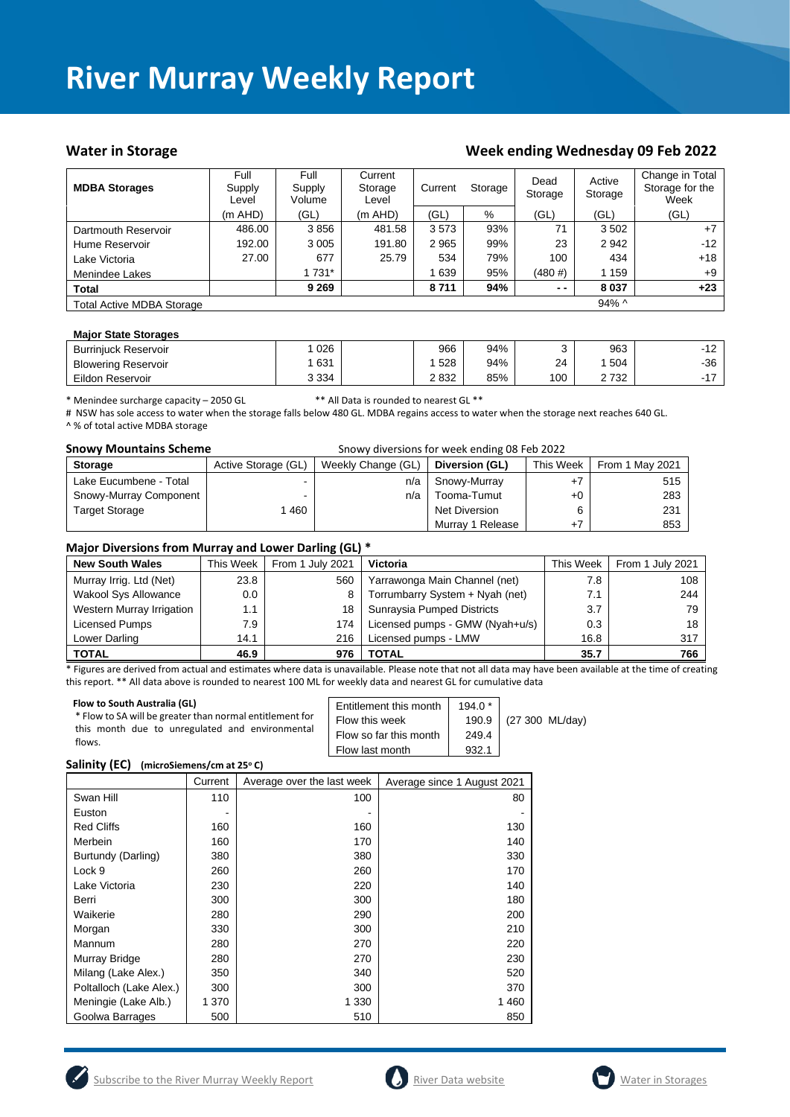#### Water in Storage Water in Storage Week ending Wednesday 09 Feb 2022

| <b>MDBA Storages</b>             | Full<br>Supply<br>Level | Full<br>Supply<br>Volume | Current<br>Storage<br>Level | Current | Storage | Dead<br>Storage | Active<br>Storage | Change in Total<br>Storage for the<br>Week |
|----------------------------------|-------------------------|--------------------------|-----------------------------|---------|---------|-----------------|-------------------|--------------------------------------------|
|                                  | (m AHD)                 | (GL)                     | (m AHD)                     | (GL)    | %       | (GL)            | (GL)              | (GL)                                       |
| Dartmouth Reservoir              | 486.00                  | 3856                     | 481.58                      | 3573    | 93%     | 71              | 3 5 0 2           | $+7$                                       |
| Hume Reservoir                   | 192.00                  | 3 0 0 5                  | 191.80                      | 2965    | 99%     | 23              | 2942              | $-12$                                      |
| Lake Victoria                    | 27.00                   | 677                      | 25.79                       | 534     | 79%     | 100             | 434               | $+18$                                      |
| Menindee Lakes                   |                         | 1 731*                   |                             | 639     | 95%     | (480#)          | 1 1 5 9           | $+9$                                       |
| <b>Total</b>                     |                         | 9 2 6 9                  |                             | 8711    | 94%     | $ -$            | 8 0 3 7           | $+23$                                      |
| <b>Total Active MDBA Storage</b> |                         |                          |                             |         |         |                 | $94\%$ ^          |                                            |

#### **Major State Storages**

| <b>Burriniuck Reservoir</b> | 026     | 966  | 94% |     | 963  | 10<br>-<br>╶╹ |
|-----------------------------|---------|------|-----|-----|------|---------------|
| <b>Blowering Reservoir</b>  | 631     | 528  | 94% | 24  | 504  | $-36$         |
| Eildon Reservoir            | 3 3 3 4 | 2832 | 85% | 100 | 2732 |               |

\* Menindee surcharge capacity – 2050 GL \*\* All Data is rounded to nearest GL \*\*

# NSW has sole access to water when the storage falls below 480 GL. MDBA regains access to water when the storage next reaches 640 GL. ^ % of total active MDBA storage

| <b>Snowy Mountains Scheme</b> |                     | Snowy diversions for week ending 08 Feb 2022 |                  |           |                 |
|-------------------------------|---------------------|----------------------------------------------|------------------|-----------|-----------------|
| <b>Storage</b>                | Active Storage (GL) | Weekly Change (GL)                           | Diversion (GL)   | This Week | From 1 May 2021 |
| Lake Eucumbene - Total        |                     | n/a                                          | Snowy-Murray     | $+7$      | 515             |
| Snowy-Murray Component        |                     | n/a                                          | Tooma-Tumut      | $+0$      | 283             |
| <b>Target Storage</b>         | 460                 |                                              | Net Diversion    | 6         | 231             |
|                               |                     |                                              | Murray 1 Release | $+7$      | 853             |

#### **Major Diversions from Murray and Lower Darling (GL) \***

| <b>New South Wales</b>      | This Week | From 1 July 2021 | Victoria                        | This Week | From 1 July 2021 |
|-----------------------------|-----------|------------------|---------------------------------|-----------|------------------|
| Murray Irrig. Ltd (Net)     | 23.8      | 560              | Yarrawonga Main Channel (net)   | 7.8       | 108              |
| <b>Wakool Sys Allowance</b> | $0.0\,$   |                  | Torrumbarry System + Nyah (net) | 7.1       | 244              |
| Western Murray Irrigation   | 1.1       | 18               | Sunraysia Pumped Districts      | 3.7       | 79               |
| Licensed Pumps              | 7.9       | 174              | Licensed pumps - GMW (Nyah+u/s) | 0.3       | 18               |
| Lower Darling               | 14.1      | 216              | Licensed pumps - LMW            | 16.8      | 317              |
| <b>TOTAL</b>                | 46.9      | 976              | TOTAL                           | 35.7      | 766              |

\* Figures are derived from actual and estimates where data is unavailable. Please note that not all data may have been available at the time of creating this report. \*\* All data above is rounded to nearest 100 ML for weekly data and nearest GL for cumulative data

| Flow to South Australia (GL)<br>* Flow to SA will be greater than normal entitlement for<br>this month due to unregulated and environmental<br>flows. | Entitlement this month<br>Flow this week<br>Flow so far this month<br>Flow last month | $194.0*$<br>249.4<br>932.1 | 190.9 (27 300 ML/day) |
|-------------------------------------------------------------------------------------------------------------------------------------------------------|---------------------------------------------------------------------------------------|----------------------------|-----------------------|
|-------------------------------------------------------------------------------------------------------------------------------------------------------|---------------------------------------------------------------------------------------|----------------------------|-----------------------|

#### **Salinity (EC) (microSiemens/cm at 25<sup>o</sup> C)**

|                         | Current | Average over the last week | Average since 1 August 2021 |
|-------------------------|---------|----------------------------|-----------------------------|
| Swan Hill               | 110     | 100                        | 80                          |
| Euston                  |         |                            |                             |
| <b>Red Cliffs</b>       | 160     | 160                        | 130                         |
| Merbein                 | 160     | 170                        | 140                         |
| Burtundy (Darling)      | 380     | 380                        | 330                         |
| Lock 9                  | 260     | 260                        | 170                         |
| Lake Victoria           | 230     | 220                        | 140                         |
| Berri                   | 300     | 300                        | 180                         |
| Waikerie                | 280     | 290                        | 200                         |
| Morgan                  | 330     | 300                        | 210                         |
| Mannum                  | 280     | 270                        | 220                         |
| Murray Bridge           | 280     | 270                        | 230                         |
| Milang (Lake Alex.)     | 350     | 340                        | 520                         |
| Poltalloch (Lake Alex.) | 300     | 300                        | 370                         |
| Meningie (Lake Alb.)    | 1 370   | 1 3 3 0                    | 1460                        |
| Goolwa Barrages         | 500     | 510                        | 850                         |





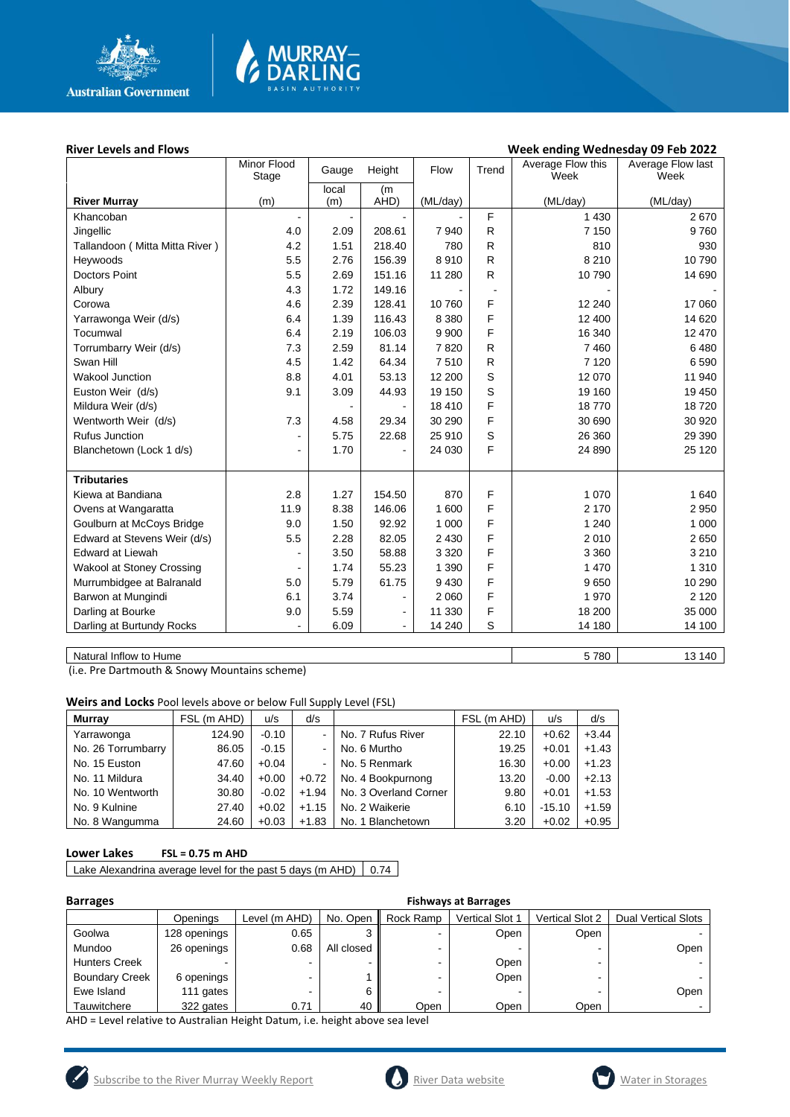

# **MURRAY-<br>DARLING**

#### River Levels and Flows **River Levels and Flows Week ending Wednesday 09 Feb 2022**

|                                  | Minor Flood<br>Stage | Gauge          | Height         | Flow     | Trend          | Average Flow this<br>Week | Average Flow last<br>Week |
|----------------------------------|----------------------|----------------|----------------|----------|----------------|---------------------------|---------------------------|
|                                  |                      | local          | (m             |          |                |                           |                           |
| <b>River Murray</b>              | (m)                  | (m)            | AHD)           | (ML/day) |                | (ML/day)                  | (ML/day)                  |
| Khancoban                        |                      | $\blacksquare$ |                |          | F              | 1 4 3 0                   | 2670                      |
| Jingellic                        | 4.0                  | 2.09           | 208.61         | 7940     | R              | 7 1 5 0                   | 9760                      |
| Tallandoon (Mitta Mitta River)   | 4.2                  | 1.51           | 218.40         | 780      | R              | 810                       | 930                       |
| Heywoods                         | 5.5                  | 2.76           | 156.39         | 8910     | R              | 8 2 1 0                   | 10790                     |
| <b>Doctors Point</b>             | 5.5                  | 2.69           | 151.16         | 11 280   | R              | 10790                     | 14 690                    |
| Albury                           | 4.3                  | 1.72           | 149.16         |          | $\blacksquare$ |                           |                           |
| Corowa                           | 4.6                  | 2.39           | 128.41         | 10760    | F              | 12 240                    | 17 060                    |
| Yarrawonga Weir (d/s)            | 6.4                  | 1.39           | 116.43         | 8 3 8 0  | F              | 12 400                    | 14 620                    |
| Tocumwal                         | 6.4                  | 2.19           | 106.03         | 9 9 0 0  | F              | 16 340                    | 12 470                    |
| Torrumbarry Weir (d/s)           | 7.3                  | 2.59           | 81.14          | 7820     | R              | 7460                      | 6480                      |
| Swan Hill                        | 4.5                  | 1.42           | 64.34          | 7510     | R              | 7 1 2 0                   | 6 5 9 0                   |
| <b>Wakool Junction</b>           | 8.8                  | 4.01           | 53.13          | 12 200   | S              | 12 070                    | 11 940                    |
| Euston Weir (d/s)                | 9.1                  | 3.09           | 44.93          | 19 150   | S              | 19 160                    | 19 450                    |
| Mildura Weir (d/s)               |                      |                |                | 18 410   | F              | 18770                     | 18720                     |
| Wentworth Weir (d/s)             | 7.3                  | 4.58           | 29.34          | 30 290   | F              | 30 690                    | 30 920                    |
| <b>Rufus Junction</b>            | -                    | 5.75           | 22.68          | 25 910   | S              | 26 360                    | 29 390                    |
| Blanchetown (Lock 1 d/s)         | ۰                    | 1.70           |                | 24 030   | F              | 24 890                    | 25 1 20                   |
|                                  |                      |                |                |          |                |                           |                           |
| <b>Tributaries</b>               |                      |                |                |          |                |                           |                           |
| Kiewa at Bandiana                | 2.8                  | 1.27           | 154.50         | 870      | F              | 1 0 7 0                   | 1 640                     |
| Ovens at Wangaratta              | 11.9                 | 8.38           | 146.06         | 1 600    | F              | 2 170                     | 2 9 5 0                   |
| Goulburn at McCoys Bridge        | 9.0                  | 1.50           | 92.92          | 1 0 0 0  | F              | 1 2 4 0                   | 1 0 0 0                   |
| Edward at Stevens Weir (d/s)     | 5.5                  | 2.28           | 82.05          | 2 4 3 0  | F              | 2010                      | 2650                      |
| <b>Edward at Liewah</b>          |                      | 3.50           | 58.88          | 3 3 2 0  | F              | 3 3 6 0                   | 3 2 1 0                   |
| <b>Wakool at Stoney Crossing</b> |                      | 1.74           | 55.23          | 1 3 9 0  | F              | 1 4 7 0                   | 1 3 1 0                   |
| Murrumbidgee at Balranald        | 5.0                  | 5.79           | 61.75          | 9 4 3 0  | F              | 9650                      | 10 290                    |
| Barwon at Mungindi               | 6.1                  | 3.74           | $\overline{a}$ | 2 0 6 0  | F              | 1970                      | 2 1 2 0                   |
| Darling at Bourke                | 9.0                  | 5.59           | $\blacksquare$ | 11 330   | F              | 18 200                    | 35 000                    |
| Darling at Burtundy Rocks        |                      | 6.09           | $\blacksquare$ | 14 240   | S              | 14 180                    | 14 100                    |
|                                  |                      |                |                |          |                |                           |                           |

Natural Inflow to Hume 13 140

(i.e. Pre Dartmouth & Snowy Mountains scheme)

**Weirs and Locks** Pool levels above or below Full Supply Level (FSL)

| <b>Murray</b>      | FSL (m AHD) | u/s     | d/s                      |                       | FSL (m AHD) | u/s      | d/s     |
|--------------------|-------------|---------|--------------------------|-----------------------|-------------|----------|---------|
| Yarrawonga         | 124.90      | $-0.10$ | $\blacksquare$           | No. 7 Rufus River     | 22.10       | $+0.62$  | $+3.44$ |
| No. 26 Torrumbarry | 86.05       | $-0.15$ | $\blacksquare$           | No. 6 Murtho          | 19.25       | $+0.01$  | $+1.43$ |
| No. 15 Euston      | 47.60       | $+0.04$ | $\overline{\phantom{a}}$ | No. 5 Renmark         | 16.30       | $+0.00$  | $+1.23$ |
| No. 11 Mildura     | 34.40       | $+0.00$ | $+0.72$                  | No. 4 Bookpurnong     | 13.20       | $-0.00$  | $+2.13$ |
| No. 10 Wentworth   | 30.80       | $-0.02$ | $+1.94$                  | No. 3 Overland Corner | 9.80        | $+0.01$  | $+1.53$ |
| No. 9 Kulnine      | 27.40       | $+0.02$ | $+1.15$                  | No. 2 Waikerie        | 6.10        | $-15.10$ | $+1.59$ |
| No. 8 Wangumma     | 24.60       | $+0.03$ | $+1.83$                  | No. 1 Blanchetown     | 3.20        | $+0.02$  | $+0.95$ |

#### **Lower Lakes FSL = 0.75 m AHD**

Lake Alexandrina average level for the past 5 days (m AHD)  $\vert$  0.74

| <b>Barrages</b>       |              | <b>Fishways at Barrages</b> |            |           |                        |                        |                            |  |  |  |
|-----------------------|--------------|-----------------------------|------------|-----------|------------------------|------------------------|----------------------------|--|--|--|
|                       | Openings     | Level (m AHD)               | No. Open   | Rock Ramp | <b>Vertical Slot 1</b> | <b>Vertical Slot 2</b> | <b>Dual Vertical Slots</b> |  |  |  |
| Goolwa                | 128 openings | 0.65                        |            |           | Open                   | Open                   |                            |  |  |  |
| Mundoo                | 26 openings  | 0.68                        | All closed |           |                        |                        | Open                       |  |  |  |
| <b>Hunters Creek</b>  |              | -                           |            |           | Open                   | -                      |                            |  |  |  |
| <b>Boundary Creek</b> | 6 openings   | -                           |            |           | Open                   | -                      |                            |  |  |  |
| Ewe Island            | 111 gates    | -                           | 6          |           |                        |                        | Open                       |  |  |  |
| Tauwitchere           | 322 gates    | 0.71                        | 40         | Open      | Open                   | Open                   |                            |  |  |  |

AHD = Level relative to Australian Height Datum, i.e. height above sea level